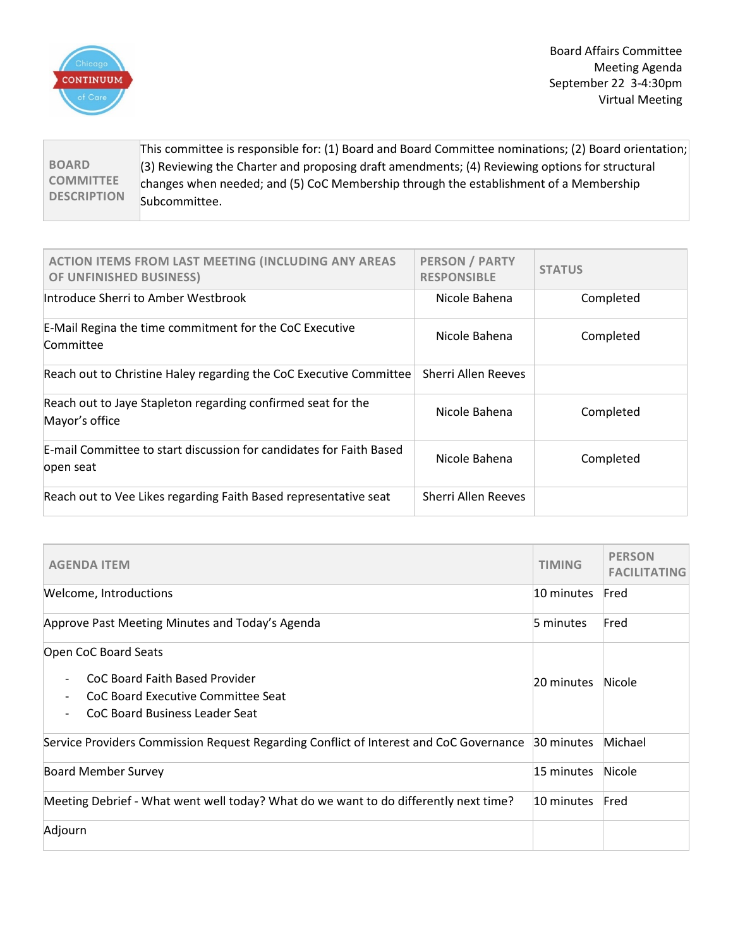

Board Affairs Committee Meeting Agenda September 22 3-4:30pm Virtual Meeting

**BOARD COMMITTEE DESCRIPTION** This committee is responsible for: (1) Board and Board Committee nominations; (2) Board orientation; (3) Reviewing the Charter and proposing draft amendments; (4) Reviewing options for structural changes when needed; and (5) CoC Membership through the establishment of a Membership Subcommittee.

| <b>ACTION ITEMS FROM LAST MEETING (INCLUDING ANY AREAS</b><br>OF UNFINISHED BUSINESS) | <b>PERSON / PARTY</b><br><b>RESPONSIBLE</b> | <b>STATUS</b> |
|---------------------------------------------------------------------------------------|---------------------------------------------|---------------|
| Introduce Sherri to Amber Westbrook                                                   | Nicole Bahena                               | Completed     |
| E-Mail Regina the time commitment for the CoC Executive<br>Committee                  | Nicole Bahena                               | Completed     |
| Reach out to Christine Haley regarding the CoC Executive Committee                    | <b>Sherri Allen Reeves</b>                  |               |
| Reach out to Jaye Stapleton regarding confirmed seat for the<br>Mayor's office        | Nicole Bahena                               | Completed     |
| E-mail Committee to start discussion for candidates for Faith Based<br>open seat      | Nicole Bahena                               | Completed     |
| Reach out to Vee Likes regarding Faith Based representative seat                      | Sherri Allen Reeves                         |               |

| <b>AGENDA ITEM</b>                                                                                     |            | <b>PERSON</b><br><b>FACILITATING</b> |
|--------------------------------------------------------------------------------------------------------|------------|--------------------------------------|
| Welcome, Introductions                                                                                 | 10 minutes | Fred                                 |
| Approve Past Meeting Minutes and Today's Agenda                                                        | 5 minutes  | Fred                                 |
| Open CoC Board Seats                                                                                   |            |                                      |
| CoC Board Faith Based Provider<br>CoC Board Executive Committee Seat<br>CoC Board Business Leader Seat | 20 minutes | Nicole                               |
| Service Providers Commission Request Regarding Conflict of Interest and CoC Governance                 | 30 minutes | Michael                              |
| <b>Board Member Survey</b>                                                                             | 15 minutes | Nicole                               |
| Meeting Debrief - What went well today? What do we want to do differently next time?                   | 10 minutes | Fred                                 |
| Adjourn                                                                                                |            |                                      |